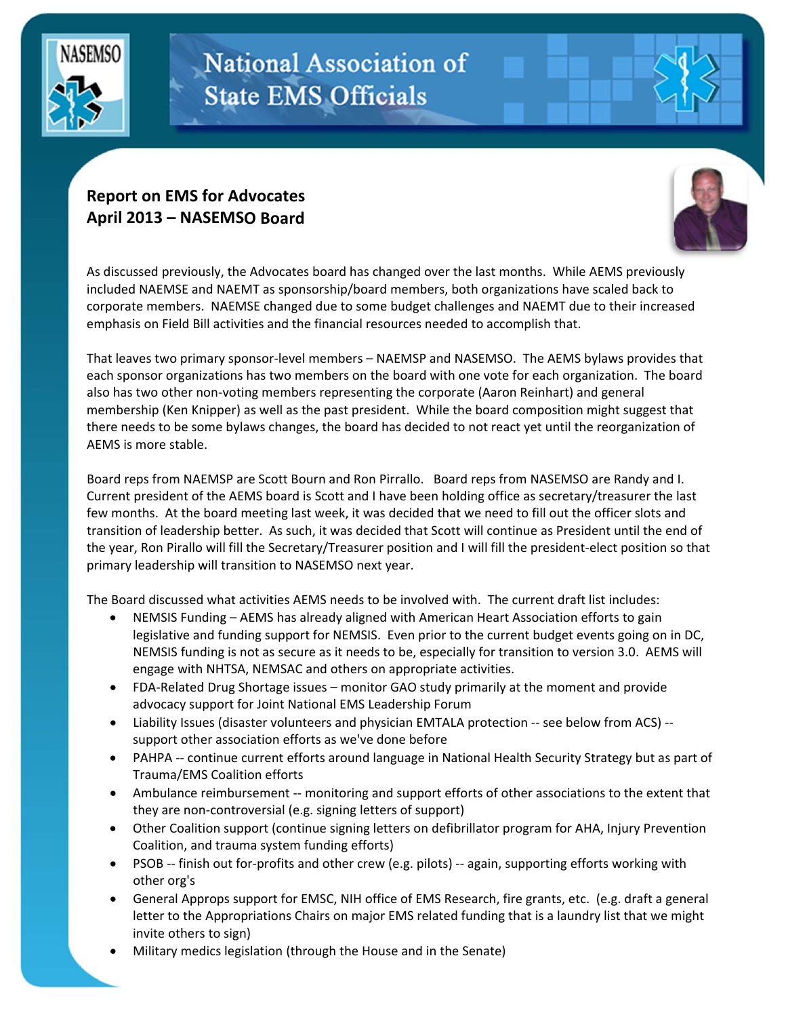

## **National Association of State EMS Officials**

## **Report on EMS for Advocates April 2013 – NASEMSO Board**



As discussed previously, the Advocates board has changed over the last months. While AEMS previously included NAEMSE and NAEMT as sponsorship/board members, both organizations have scaled back to corporate members. NAEMSE changed due to some budget challenges and NAEMT due to their increased emphasis on Field Bill activities and the financial resources needed to accomplish that.

That leaves two primary sponsor‐level members – NAEMSP and NASEMSO. The AEMS bylaws provides that each sponsor organizations has two members on the board with one vote for each organization. The board also has two other non‐voting members representing the corporate (Aaron Reinhart) and general membership (Ken Knipper) as well as the past president. While the board composition might suggest that there needs to be some bylaws changes, the board has decided to not react yet until the reorganization of AEMS is more stable.

Board reps from NAEMSP are Scott Bourn and Ron Pirrallo. Board reps from NASEMSO are Randy and I. Current president of the AEMS board is Scott and I have been holding office as secretary/treasurer the last few months. At the board meeting last week, it was decided that we need to fill out the officer slots and transition of leadership better. As such, it was decided that Scott will continue as President until the end of the year, Ron Pirallo will fill the Secretary/Treasurer position and I will fill the president‐elect position so that primary leadership will transition to NASEMSO next year.

The Board discussed what activities AEMS needs to be involved with. The current draft list includes:

- NEMSIS Funding AEMS has already aligned with American Heart Association efforts to gain legislative and funding support for NEMSIS. Even prior to the current budget events going on in DC, NEMSIS funding is not as secure as it needs to be, especially for transition to version 3.0. AEMS will engage with NHTSA, NEMSAC and others on appropriate activities.
- FDA-Related Drug Shortage issues monitor GAO study primarily at the moment and provide advocacy support for Joint National EMS Leadership Forum
- Liability Issues (disaster volunteers and physician EMTALA protection ‐‐ see below from ACS) ‐‐ support other association efforts as we've done before
- PAHPA -- continue current efforts around language in National Health Security Strategy but as part of Trauma/EMS Coalition efforts
- Ambulance reimbursement -- monitoring and support efforts of other associations to the extent that they are non‐controversial (e.g. signing letters of support)
- Other Coalition support (continue signing letters on defibrillator program for AHA, Injury Prevention Coalition, and trauma system funding efforts)
- PSOB -- finish out for-profits and other crew (e.g. pilots) -- again, supporting efforts working with other org's
- General Approps support for EMSC, NIH office of EMS Research, fire grants, etc. (e.g. draft a general letter to the Appropriations Chairs on major EMS related funding that is a laundry list that we might invite others to sign)
- Military medics legislation (through the House and in the Senate)